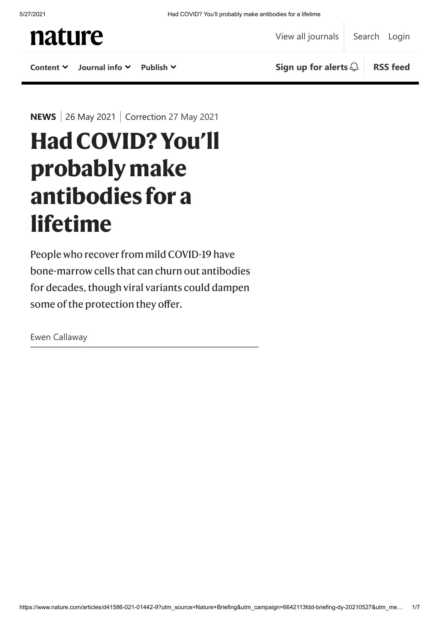

**NEWS** | 26 May 2021 | Correction [27 May 2021](#page-4-0)

# **HadCOVID?You'll probablymake antibodies fora lifetime**

People who recover from mild COVID-19 have bone-marrow cells that can churn out antibodies for decades, though viral variants could dampen some of the protection they offer.

Ewen Callaway

https://www.nature.com/articles/d41586-021-01442-9?utm\_source=Nature+Briefing&utm\_campaign=6642113fdd-briefing-dy-20210527&utm\_me… 1/7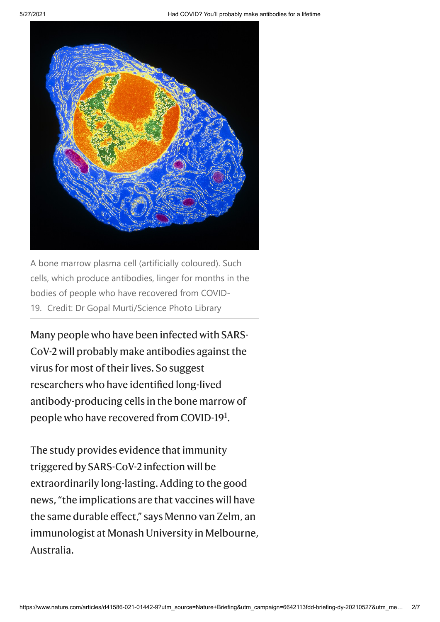

A bone marrow plasma cell (artificially coloured). Such cells, which produce antibodies, linger for months in the bodies of people who have recovered from COVID-19. Credit: Dr Gopal Murti/Science Photo Library

Many people who have been infected with SARS- $CoV-2$  will probably make antibodies against the virus for most of their lives. So suggest researchers who have identified long-lived antibody-producing cells in the bone marrow of people who have recovered from COVID-[1](#page-4-1)9<sup>1</sup>.

The study provides evidence that immunity triggered by SARS-CoV-2 infection will be extraordinarily long-lasting. Adding to the good news, "the implications are that vaccines will have the same durable effect," says Menno van Zelm, an immunologist at Monash University in Melbourne, Australia.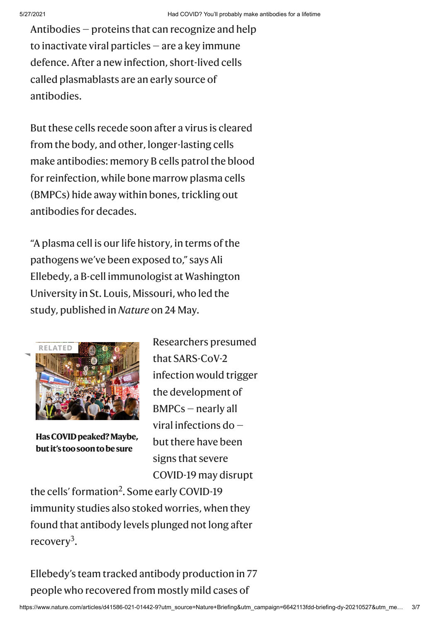Antibodies — proteins that can recognize and help to inactivate viral particles — are a key immune defence. After a new infection, short-lived cells called plasmablasts are an early source of antibodies.

But these cells recede soon after a virus is cleared from the body, and other, longer-lasting cells make antibodies: memory B cells patrol the blood for reinfection, while bone marrow plasma cells (BMPCs) hide away within bones, trickling out antibodies for decades.

"A plasma cell is our life history, in terms of the pathogens we've been exposed to," says Ali Ellebedy, a B-cell immunologist at Washington University in St. Louis, Missouri, who led the study, published in *Nature* on 24 May.



**Has COVID peaked? Maybe, butit'stoosoontobesure**

Researchers presumed that SARS-CoV-2 infection would trigger the development of BMPCs — nearly all viral infections do but there have been signs that severe COVID-19 may disrupt

the cells' formation<sup>[2](#page-4-2)</sup>. Some early COVID-19 immunity studies also stoked worries, when they found that antibody levels plunged not long after recovery<sup>[3](#page-4-3)</sup>.

Ellebedy's team tracked antibody production in 77 people who recovered from mostly mild cases of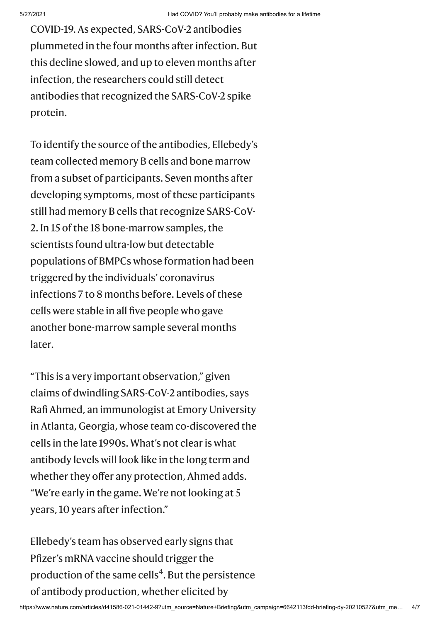COVID-19. As expected, SARS-CoV-2 antibodies plummeted in the four months after infection. But this decline slowed, and up to eleven months after infection, the researchers could still detect antibodies that recognized the SARS-CoV-2 spike protein.

To identify the source of the antibodies, Ellebedy's team collected memory B cells and bone marrow from a subset of participants. Seven months after developing symptoms, most of these participants still had memory B cells that recognize SARS-CoV-2. In 15 of the 18 bone-marrow samples, the scientists found ultra-low but detectable populations of BMPCs whose formation had been triggered by the individuals' coronavirus infections 7 to 8 months before. Levels of these cells were stable in all five people who gave another bone-marrow sample several months later.

"This is a very important observation," given claims of dwindling SARS-CoV-2 antibodies, says Rafi Ahmed, an immunologist at Emory University in Atlanta, Georgia, whose team co-discovered the cells in the late 1990s. What's not clear is what antibody levels will look like in the long term and whether they offer any protection, Ahmed adds. "We're early in the game. We're not looking at 5 years, 10 years after infection."

Ellebedy's team has observed early signs that Pfizer's mRNA vaccine should trigger the production of the same cells<sup>[4](#page-4-4)</sup>. But the persistence of antibody production, whether elicited by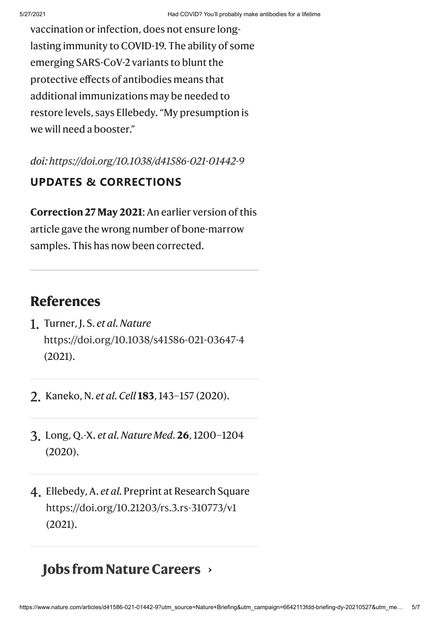vaccination or infection, does not ensure longlasting immunity to COVID-19. The ability of some emerging SARS-CoV-2 variants to blunt the protective effects of antibodies means that additional immunizations may be needed to restore levels, says Ellebedy. "My presumption is we will need a booster."

*doi: <https://doi.org/10.1038/d41586-021-01442-9>*

### **UPDATES & CORRECTIONS**

<span id="page-4-0"></span>**Correction 27 May 2021:** An earlier version of this article gave the wrong number of bone-marrow samples. This has now been corrected.

## **References**

- <span id="page-4-1"></span>1. Turner, J. S. *et al. Nature* <https://doi.org/10.1038/s41586-021-03647-4> (2021).
- <span id="page-4-2"></span>2. Kaneko, N. *et al. Cell* **183**, 143–157 (2020).
- <span id="page-4-3"></span>3. Long, Q.-X. *et al. Nature Med.* **26**, 1200–1204 (2020).
- <span id="page-4-4"></span>4. Ellebedy, A. *et al.* Preprint at Research Square <https://doi.org/10.21203/rs.3.rs-310773/v1> (2021).

## **Jobs [fromNatureCareers](https://www.nature.com/naturecareers/) ›**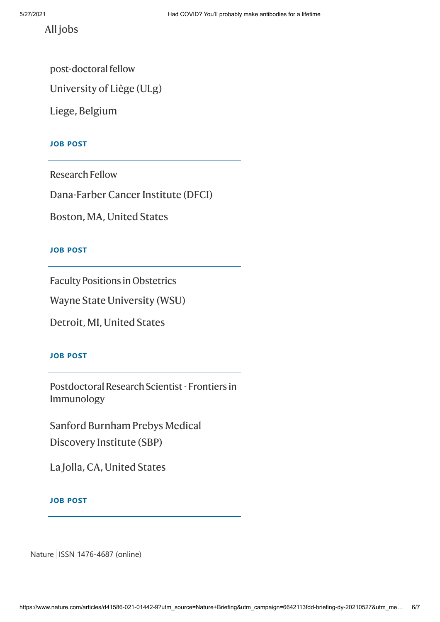All [jobs](https://www.nature.com/naturecareers/)

post-doctoral fellow

University of Liège (ULg)

Liege, Belgium

#### **JOB POST**

Research Fellow

[Dana-Farber](https://www.nature.com/naturecareers/job/research-fellow-danafarber-cancer-institute-dfci-741299) Cancer Institute (DFCI)

Boston, MA, United States

#### **JOB POST**

Faculty Positions in Obstetrics

Wayne State [University](https://www.nature.com/naturecareers/job/faculty-positions-in-obstetrics-wayne-state-university-wsu-741298) (WSU)

Detroit, MI, United States

#### **JOB POST**

Postdoctoral Research Scientist - Frontiers in Immunology

Sanford Burnham Prebys Medical Discovery Institute (SBP)

La Jolla, CA, United States

#### **JOB POST**

Nature | ISSN 1476-4687 (online)